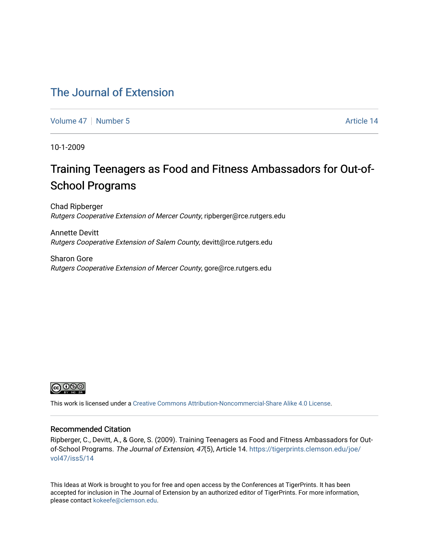### [The Journal of Extension](https://tigerprints.clemson.edu/joe)

[Volume 47](https://tigerprints.clemson.edu/joe/vol47) | [Number 5](https://tigerprints.clemson.edu/joe/vol47/iss5) Article 14

10-1-2009

## Training Teenagers as Food and Fitness Ambassadors for Out-of-School Programs

Chad Ripberger Rutgers Cooperative Extension of Mercer County, ripberger@rce.rutgers.edu

Annette Devitt Rutgers Cooperative Extension of Salem County, devitt@rce.rutgers.edu

Sharon Gore Rutgers Cooperative Extension of Mercer County, gore@rce.rutgers.edu



This work is licensed under a [Creative Commons Attribution-Noncommercial-Share Alike 4.0 License.](https://creativecommons.org/licenses/by-nc-sa/4.0/)

#### Recommended Citation

Ripberger, C., Devitt, A., & Gore, S. (2009). Training Teenagers as Food and Fitness Ambassadors for Outof-School Programs. The Journal of Extension, 47(5), Article 14. [https://tigerprints.clemson.edu/joe/](https://tigerprints.clemson.edu/joe/vol47/iss5/14) [vol47/iss5/14](https://tigerprints.clemson.edu/joe/vol47/iss5/14) 

This Ideas at Work is brought to you for free and open access by the Conferences at TigerPrints. It has been accepted for inclusion in The Journal of Extension by an authorized editor of TigerPrints. For more information, please contact [kokeefe@clemson.edu](mailto:kokeefe@clemson.edu).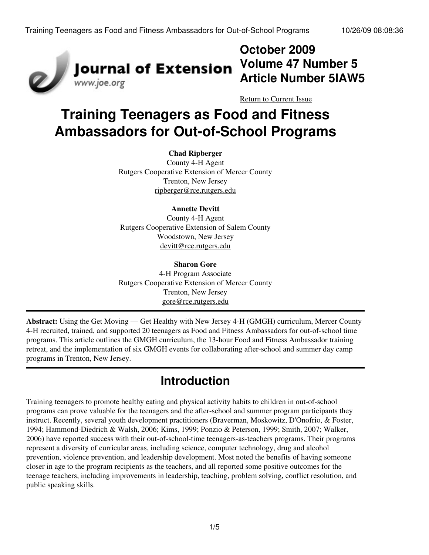

## **October 2009 Volume 47 Number 5 Article Number 5IAW5**

[Return to Current Issue](http://www.joe.org:80/joe/2009october/)

# **Training Teenagers as Food and Fitness Ambassadors for Out-of-School Programs**

#### **Chad Ripberger**

County 4-H Agent Rutgers Cooperative Extension of Mercer County Trenton, New Jersey [ripberger@rce.rutgers.edu](mailto:ripberger@rce.rutgers.edu)

#### **Annette Devitt**

County 4-H Agent Rutgers Cooperative Extension of Salem County Woodstown, New Jersey [devitt@rce.rutgers.edu](mailto:devitt@rce.rutgers.edu)

#### **Sharon Gore**

4-H Program Associate Rutgers Cooperative Extension of Mercer County Trenton, New Jersey [gore@rce.rutgers.edu](mailto:gore@rce.rutgers.edu)

**Abstract:** Using the Get Moving — Get Healthy with New Jersey 4-H (GMGH) curriculum, Mercer County 4-H recruited, trained, and supported 20 teenagers as Food and Fitness Ambassadors for out-of-school time programs. This article outlines the GMGH curriculum, the 13-hour Food and Fitness Ambassador training retreat, and the implementation of six GMGH events for collaborating after-school and summer day camp programs in Trenton, New Jersey.

### **Introduction**

Training teenagers to promote healthy eating and physical activity habits to children in out-of-school programs can prove valuable for the teenagers and the after-school and summer program participants they instruct. Recently, several youth development practitioners (Braverman, Moskowitz, D'Onofrio, & Foster, 1994; Hammond-Diedrich & Walsh, 2006; Kims, 1999; Ponzio & Peterson, 1999; Smith, 2007; Walker, 2006) have reported success with their out-of-school-time teenagers-as-teachers programs. Their programs represent a diversity of curricular areas, including science, computer technology, drug and alcohol prevention, violence prevention, and leadership development. Most noted the benefits of having someone closer in age to the program recipients as the teachers, and all reported some positive outcomes for the teenage teachers, including improvements in leadership, teaching, problem solving, conflict resolution, and public speaking skills.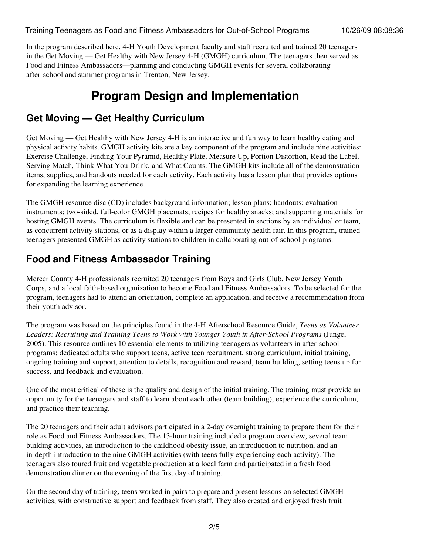In the program described here, 4-H Youth Development faculty and staff recruited and trained 20 teenagers in the Get Moving — Get Healthy with New Jersey 4-H (GMGH) curriculum. The teenagers then served as Food and Fitness Ambassadors—planning and conducting GMGH events for several collaborating after-school and summer programs in Trenton, New Jersey.

## **Program Design and Implementation**

### **Get Moving — Get Healthy Curriculum**

Get Moving — Get Healthy with New Jersey 4-H is an interactive and fun way to learn healthy eating and physical activity habits. GMGH activity kits are a key component of the program and include nine activities: Exercise Challenge, Finding Your Pyramid, Healthy Plate, Measure Up, Portion Distortion, Read the Label, Serving Match, Think What You Drink, and What Counts. The GMGH kits include all of the demonstration items, supplies, and handouts needed for each activity. Each activity has a lesson plan that provides options for expanding the learning experience.

The GMGH resource disc (CD) includes background information; lesson plans; handouts; evaluation instruments; two-sided, full-color GMGH placemats; recipes for healthy snacks; and supporting materials for hosting GMGH events. The curriculum is flexible and can be presented in sections by an individual or team, as concurrent activity stations, or as a display within a larger community health fair. In this program, trained teenagers presented GMGH as activity stations to children in collaborating out-of-school programs.

### **Food and Fitness Ambassador Training**

Mercer County 4-H professionals recruited 20 teenagers from Boys and Girls Club, New Jersey Youth Corps, and a local faith-based organization to become Food and Fitness Ambassadors. To be selected for the program, teenagers had to attend an orientation, complete an application, and receive a recommendation from their youth advisor.

The program was based on the principles found in the 4-H Afterschool Resource Guide, *Teens as Volunteer Leaders: Recruiting and Training Teens to Work with Younger Youth in After-School Programs* (Junge, 2005). This resource outlines 10 essential elements to utilizing teenagers as volunteers in after-school programs: dedicated adults who support teens, active teen recruitment, strong curriculum, initial training, ongoing training and support, attention to details, recognition and reward, team building, setting teens up for success, and feedback and evaluation.

One of the most critical of these is the quality and design of the initial training. The training must provide an opportunity for the teenagers and staff to learn about each other (team building), experience the curriculum, and practice their teaching.

The 20 teenagers and their adult advisors participated in a 2-day overnight training to prepare them for their role as Food and Fitness Ambassadors. The 13-hour training included a program overview, several team building activities, an introduction to the childhood obesity issue, an introduction to nutrition, and an in-depth introduction to the nine GMGH activities (with teens fully experiencing each activity). The teenagers also toured fruit and vegetable production at a local farm and participated in a fresh food demonstration dinner on the evening of the first day of training.

On the second day of training, teens worked in pairs to prepare and present lessons on selected GMGH activities, with constructive support and feedback from staff. They also created and enjoyed fresh fruit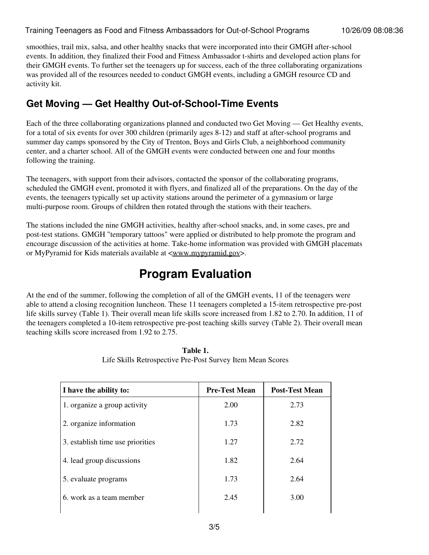smoothies, trail mix, salsa, and other healthy snacks that were incorporated into their GMGH after-school events. In addition, they finalized their Food and Fitness Ambassador t-shirts and developed action plans for their GMGH events. To further set the teenagers up for success, each of the three collaborating organizations was provided all of the resources needed to conduct GMGH events, including a GMGH resource CD and activity kit.

### **Get Moving — Get Healthy Out-of-School-Time Events**

Each of the three collaborating organizations planned and conducted two Get Moving — Get Healthy events, for a total of six events for over 300 children (primarily ages 8-12) and staff at after-school programs and summer day camps sponsored by the City of Trenton, Boys and Girls Club, a neighborhood community center, and a charter school. All of the GMGH events were conducted between one and four months following the training.

The teenagers, with support from their advisors, contacted the sponsor of the collaborating programs, scheduled the GMGH event, promoted it with flyers, and finalized all of the preparations. On the day of the events, the teenagers typically set up activity stations around the perimeter of a gymnasium or large multi-purpose room. Groups of children then rotated through the stations with their teachers.

The stations included the nine GMGH activities, healthy after-school snacks, and, in some cases, pre and post-test stations. GMGH "temporary tattoos" were applied or distributed to help promote the program and encourage discussion of the activities at home. Take-home information was provided with GMGH placemats or MyPyramid for Kids materials available at [<www.mypyramid.gov>](http://www.mypyramid.gov/).

## **Program Evaluation**

At the end of the summer, following the completion of all of the GMGH events, 11 of the teenagers were able to attend a closing recognition luncheon. These 11 teenagers completed a 15-item retrospective pre-post life skills survey (Table 1). Their overall mean life skills score increased from 1.82 to 2.70. In addition, 11 of the teenagers completed a 10-item retrospective pre-post teaching skills survey (Table 2). Their overall mean teaching skills score increased from 1.92 to 2.75.

| I have the ability to:           | <b>Pre-Test Mean</b> | <b>Post-Test Mean</b> |
|----------------------------------|----------------------|-----------------------|
| 1. organize a group activity     | 2.00                 | 2.73                  |
| 2. organize information          | 1.73                 | 2.82                  |
| 3. establish time use priorities | 1.27                 | 2.72                  |
| 4. lead group discussions        | 1.82                 | 2.64                  |
| 5. evaluate programs             | 1.73                 | 2.64                  |
| 6. work as a team member         | 2.45                 | 3.00                  |

| Table 1.                                                   |  |
|------------------------------------------------------------|--|
| Life Skills Retrospective Pre-Post Survey Item Mean Scores |  |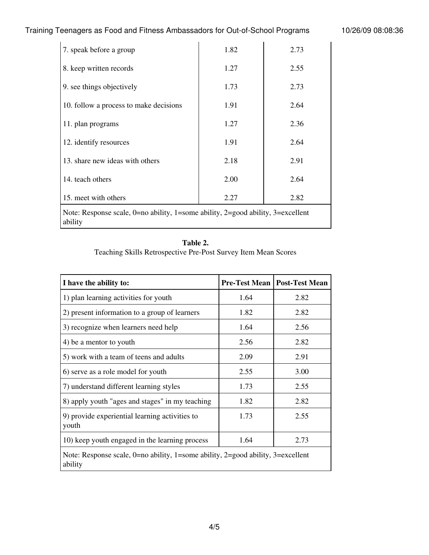#### Training Teenagers as Food and Fitness Ambassadors for Out-of-School Programs 10/26/09 08:08:36

| 7. speak before a group                                                                                | 1.82 | 2.73 |  |  |
|--------------------------------------------------------------------------------------------------------|------|------|--|--|
| 8. keep written records                                                                                | 1.27 | 2.55 |  |  |
| 9. see things objectively                                                                              | 1.73 | 2.73 |  |  |
| 10. follow a process to make decisions                                                                 | 1.91 | 2.64 |  |  |
| 11. plan programs                                                                                      | 1.27 | 2.36 |  |  |
| 12. identify resources                                                                                 | 1.91 | 2.64 |  |  |
| 13. share new ideas with others                                                                        | 2.18 | 2.91 |  |  |
| 14. teach others                                                                                       | 2.00 | 2.64 |  |  |
| 15. meet with others                                                                                   | 2.27 | 2.82 |  |  |
| Note: Response scale, $0=$ no ability, $1=$ some ability, $2=$ good ability, $3=$ excellent<br>ability |      |      |  |  |

#### **Table 2.**

Teaching Skills Retrospective Pre-Post Survey Item Mean Scores

| I have the ability to:                                                                                 |      | <b>Pre-Test Mean   Post-Test Mean</b> |  |  |
|--------------------------------------------------------------------------------------------------------|------|---------------------------------------|--|--|
| 1) plan learning activities for youth                                                                  | 1.64 | 2.82                                  |  |  |
| 2) present information to a group of learners                                                          | 1.82 | 2.82                                  |  |  |
| 3) recognize when learners need help                                                                   | 1.64 | 2.56                                  |  |  |
| 4) be a mentor to youth                                                                                | 2.56 | 2.82                                  |  |  |
| 5) work with a team of teens and adults                                                                | 2.09 | 2.91                                  |  |  |
| 6) serve as a role model for youth                                                                     | 2.55 | 3.00                                  |  |  |
| 7) understand different learning styles                                                                | 1.73 | 2.55                                  |  |  |
| 8) apply youth "ages and stages" in my teaching                                                        | 1.82 | 2.82                                  |  |  |
| 9) provide experiential learning activities to<br>youth                                                | 1.73 | 2.55                                  |  |  |
| 10) keep youth engaged in the learning process                                                         | 1.64 | 2.73                                  |  |  |
| Note: Response scale, $0=$ no ability, $1=$ some ability, $2=$ good ability, $3=$ excellent<br>ability |      |                                       |  |  |